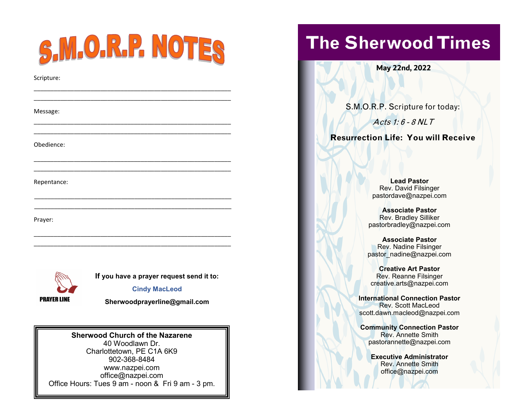|              | S.M.O.R.P. NOTES                         |  |  |
|--------------|------------------------------------------|--|--|
| Scripture:   |                                          |  |  |
| Message:     |                                          |  |  |
| Obedience:   |                                          |  |  |
| Repentance:  |                                          |  |  |
| Prayer:      |                                          |  |  |
|              | If you have a prayer request send it to: |  |  |
| DDAVED I INE | <b>Cindy MacLeod</b>                     |  |  |



**[Sherwoodprayerline@gmail.com](mailto:Sherwoodprayerline@gmail.com)**

### **Sherwood Church of the Nazarene**

40 Woodlawn Dr. Charlottetown, PE C1A 6K9 902-368-8484 www.nazpei.com office@nazpei.com Office Hours: Tues 9 am - noon & Fri 9 am - 3 pm.

# **The Sherwood Times**

**May 22nd, 2022**

S.M.O.R.P. Scripture for today:

Acts 1: 6 - 8 NLT

**Resurrection Life: You will Receive**

**Lead Pastor** Rev. David Filsinger pastordave@nazpei.com

**Associate Pastor** Rev. Bradley Silliker pastorbradley@nazpei.com

**Associate Pastor** Rev. Nadine Filsinger pastor\_nadine@nazpei.com

**Creative Art Pastor** Rev. Reanne Filsinger creative.arts@nazpei.com

**International Connection Pastor** Rev. Scott MacLeod scott.dawn.macleod@nazpei.com

**Community Connection Pastor** Rev. Annette Smith pastorannette@nazpei.com

> **Executive Administrator** Rev. Annette Smith office@nazpei.com